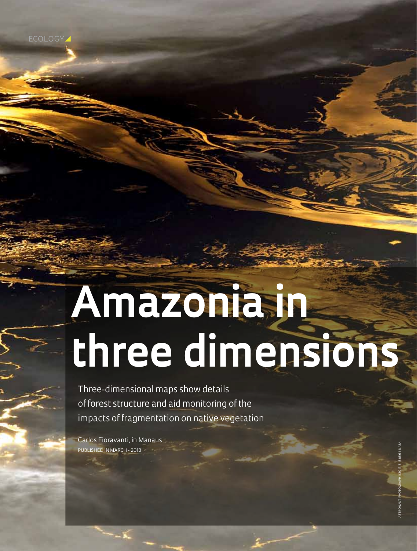ECOLOGY

# **Amazonia in three dimensions**

Three-dimensional maps show details of forest structure and aid monitoring of the impacts of fragmentation on native vegetation

Carlos Fioravanti, in Manaus Published in March - 2013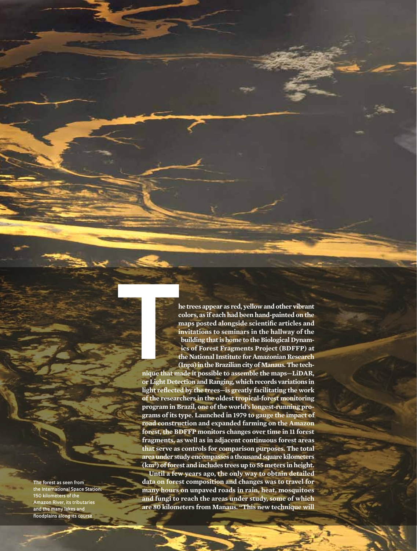**he trees appear as red, yellow and other vibrant colors, as if each had been hand-painted on the maps posted alongside scientific articles and invitations to seminars in the hallway of the building that is home to the Biological Dynamics of Forest Fragments Project (BDFFP) at the National Institute for Amazonian Research (Inpa) in the Brazilian city of Manaus. The tech-**

**nique that made it possible to assemble the maps—LiDAR, or Light Detection and Ranging, which records variations in light reflected by the trees—is greatly facilitating the work of the researchers in the oldest tropical-forest monitoring program in Brazil, one of the world's longest-running programs of its type. Launched in 1979 to gauge the impact of road construction and expanded farming on the Amazon forest, the BDFFP monitors changes over time in 11 forest fragments, as well as in adjacent continuous forest areas that serve as controls for comparison purposes. The total area under study encompasses a thousand square kilometers (km²) of forest and includes trees up to 55 meters in height. Until a few years ago, the only way to obtain detailed data on forest composition and changes was to travel for many hours on unpaved roads in rain, heat, mosquitoes and fungi to reach the areas under study, some of which are 80 kilometers from Manaus. "This new technique will The Contract of the Contract of the Contract of the Contract of the Contract of the Contract of the Contract of the Contract of the Contract of the Contract of the Contract of the Contract of the Contract of the Contract** 

**The forest as seen from the International Space Station: 150 kilometers of the Amazon River, its tributaries and the many lakes and floodplains along its course**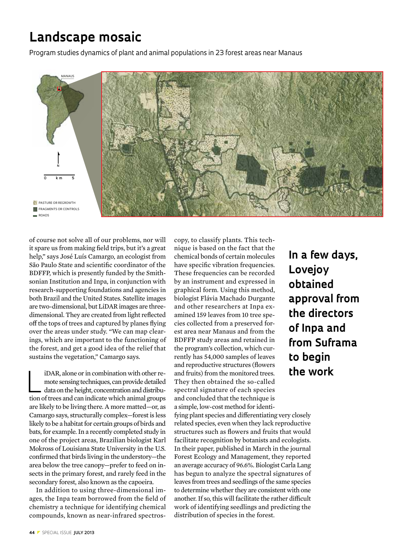# **Landscape mosaic**

Program studies dynamics of plant and animal populations in 23 forest areas near Manaus



of course not solve all of our problems, nor will it spare us from making field trips, but it's a great help," says José Luís Camargo, an ecologist from São Paulo State and scientific coordinator of the BDFFP, which is presently funded by the Smithsonian Institution and Inpa, in conjunction with research-supporting foundations and agencies in both Brazil and the United States. Satellite images are two-dimensional, but LiDAR images are threedimensional. They are created from light reflected off the tops of trees and captured by planes flying over the areas under study. "We can map clearings, which are important to the functioning of the forest, and get a good idea of the relief that sustains the vegetation," Camargo says.

iDAR, alone or in combination with other remote sensing techniques, can provide detailed<br>data on the height, concentration and distribumote sensing techniques, can provide detailed tion of trees and can indicate which animal groups are likely to be living there. A more matted—or, as Camargo says, structurally complex—forest is less likely to be a habitat for certain groups of birds and bats, for example. In a recently completed study in one of the project areas, Brazilian biologist Karl Mokross of Louisiana State University in the U.S. confirmed that birds living in the understory—the area below the tree canopy—prefer to feed on insects in the primary forest, and rarely feed in the secondary forest, also known as the capoeira.

In addition to using three-dimensional images, the Inpa team borrowed from the field of chemistry a technique for identifying chemical compounds, known as near-infrared spectroscopy, to classify plants. This technique is based on the fact that the chemical bonds of certain molecules have specific vibration frequencies. These frequencies can be recorded by an instrument and expressed in graphical form. Using this method, biologist Flávia Machado Durgante and other researchers at Inpa examined 159 leaves from 10 tree species collected from a preserved forest area near Manaus and from the BDFFP study areas and retained in the program's collection, which currently has 54,000 samples of leaves and reproductive structures (flowers and fruits) from the monitored trees. They then obtained the so-called spectral signature of each species and concluded that the technique is a simple, low-cost method for identi-

fying plant species and differentiating very closely related species, even when they lack reproductive structures such as flowers and fruits that would facilitate recognition by botanists and ecologists. In their paper, published in March in the journal Forest Ecology and Management, they reported an average accuracy of 96.6%. Biologist Carla Lang has begun to analyze the spectral signatures of leaves from trees and seedlings of the same species to determine whether they are consistent with one another. If so, this will facilitate the rather difficult work of identifying seedlings and predicting the distribution of species in the forest.

**In a few days, Lovejoy obtained approval from the directors of Inpa and from Suframa to begin the work**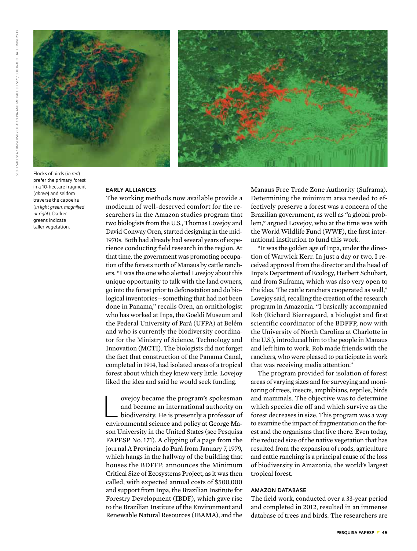



Flocks of birds (*in red*) prefer the primary forest in a 10-hectare fragment (*above*) and seldom traverse the capoeira (*in light green, magnified at right*). Darker greens indicate taller vegetation.

#### **Early alliances**

The working methods now available provide a modicum of well-deserved comfort for the researchers in the Amazon studies program that two biologists from the U.S., Thomas Lovejoy and David Conway Oren, started designing in the mid-1970s. Both had already had several years of experience conducting field research in the region. At that time, the government was promoting occupation of the forests north of Manaus by cattle ranchers. "I was the one who alerted Lovejoy about this unique opportunity to talk with the land owners, go into the forest prior to deforestation and do biological inventories—something that had not been done in Panama," recalls Oren, an ornithologist who has worked at Inpa, the Goeldi Museum and the Federal University of Pará (UFPA) at Belém and who is currently the biodiversity coordinator for the Ministry of Science, Technology and Innovation (MCTI). The biologists did not forget the fact that construction of the Panama Canal, completed in 1914, had isolated areas of a tropical forest about which they knew very little. Lovejoy liked the idea and said he would seek funding.

ovejoy became the program's spokesman<br>and became an international authority on<br>biodiversity. He is presently a professor of and became an international authority on biodiversity. He is presently a professor of environmental science and policy at George Mason University in the United States (see Pesquisa FAPESP No. 171). A clipping of a page from the journal A Província do Pará from January 7, 1979, which hangs in the hallway of the building that houses the BDFFP, announces the Minimum Critical Size of Ecosystems Project, as it was then called, with expected annual costs of \$500,000 and support from Inpa, the Brazilian Institute for Forestry Development (IBDF), which gave rise to the Brazilian Institute of the Environment and Renewable Natural Resources (IBAMA), and the

Manaus Free Trade Zone Authority (Suframa). Determining the minimum area needed to effectively preserve a forest was a concern of the Brazilian government, as well as "a global problem," argued Lovejoy, who at the time was with the World Wildlife Fund (WWF), the first international institution to fund this work.

"It was the golden age of Inpa, under the direction of Warwick Kerr. In just a day or two, I received approval from the director and the head of Inpa's Department of Ecology, Herbert Schubart, and from Suframa, which was also very open to the idea. The cattle ranchers cooperated as well," Lovejoy said, recalling the creation of the research program in Amazonia. "I basically accompanied Rob (Richard Bierregaard, a biologist and first scientific coordinator of the BDFFP, now with the University of North Carolina at Charlotte in the U.S.), introduced him to the people in Manaus and left him to work. Rob made friends with the ranchers, who were pleased to participate in work that was receiving media attention."

The program provided for isolation of forest areas of varying sizes and for surveying and monitoring of trees, insects, amphibians, reptiles, birds and mammals. The objective was to determine which species die off and which survive as the forest decreases in size. This program was a way to examine the impact of fragmentation on the forest and the organisms that live there. Even today, the reduced size of the native vegetation that has resulted from the expansion of roads, agriculture and cattle ranching is a principal cause of the loss of biodiversity in Amazonia, the world's largest tropical forest.

## **Amazon database**

The field work, conducted over a 33-year period and completed in 2012, resulted in an immense database of trees and birds. The researchers are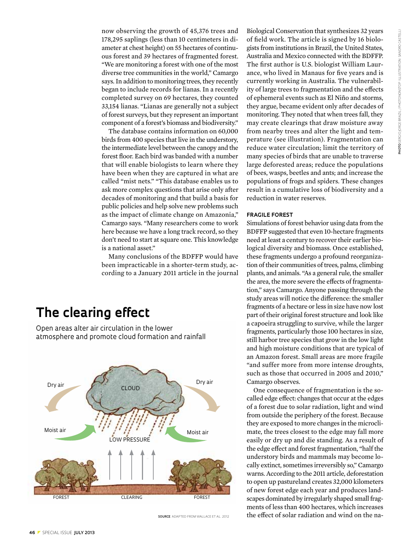now observing the growth of 45,376 trees and 178,295 saplings (less than 10 centimeters in diameter at chest height) on 55 hectares of continuous forest and 39 hectares of fragmented forest. "We are monitoring a forest with one of the most diverse tree communities in the world," Camargo says. In addition to monitoring trees, they recently began to include records for lianas. In a recently completed survey on 69 hectares, they counted 33,154 lianas. "Lianas are generally not a subject of forest surveys, but they represent an important component of a forest's biomass and biodiversity."

The database contains information on 60,000 birds from 400 species that live in the understory, the intermediate level between the canopy and the forest floor. Each bird was banded with a number that will enable biologists to learn where they have been when they are captured in what are called "mist nets." "This database enables us to ask more complex questions that arise only after decades of monitoring and that build a basis for public policies and help solve new problems such as the impact of climate change on Amazonia," Camargo says. "Many researchers come to work here because we have a long track record, so they don't need to start at square one. This knowledge is a national asset."

Many conclusions of the BDFFP would have been impracticable in a shorter-term study, according to a January 2011 article in the journal

## **The clearing effect**

Open areas alter air circulation in the lower atmosphere and promote cloud formation and rainfall



**SOURCE** ADAPTED FROM WALLACE ET AL. 2012

Biological Conservation that synthesizes 32 years of field work. The article is signed by 16 biologists from institutions in Brazil, the United States, Australia and Mexico connected with the BDFFP. The first author is U.S. biologist William Laurance, who lived in Manaus for five years and is currently working in Australia. The vulnerability of large trees to fragmentation and the effects of ephemeral events such as El Niño and storms, they argue, became evident only after decades of monitoring. They noted that when trees fall, they may create clearings that draw moisture away from nearby trees and alter the light and temperature (see illustration). Fragmentation can reduce water circulation; limit the territory of many species of birds that are unable to traverse large deforested areas; reduce the populations of bees, wasps, beetles and ants; and increase the populations of frogs and spiders. These changes result in a cumulative loss of biodiversity and a reduction in water reserves.

#### **Fragile forest**

Simulations of forest behavior using data from the BDFFP suggested that even 10-hectare fragments need at least a century to recover their earlier biological diversity and biomass. Once established, these fragments undergo a profound reorganization of their communities of trees, palms, climbing plants, and animals. "As a general rule, the smaller the area, the more severe the effects of fragmentation," says Camargo. Anyone passing through the study areas will notice the difference: the smaller fragments of a hectare or less in size have now lost part of their original forest structure and look like a capoeira struggling to survive, while the larger fragments, particularly those 100 hectares in size, still harbor tree species that grow in the low light and high moisture conditions that are typical of an Amazon forest. Small areas are more fragile "and suffer more from more intense droughts, such as those that occurred in 2005 and 2010," Camargo observes.

One consequence of fragmentation is the socalled edge effect: changes that occur at the edges of a forest due to solar radiation, light and wind from outside the periphery of the forest. Because they are exposed to more changes in the microclimate, the trees closest to the edge may fall more easily or dry up and die standing. As a result of the edge effect and forest fragmentation, "half the understory birds and mammals may become locally extinct, sometimes irreversibly so," Camargo warns. According to the 2011 article, deforestation to open up pastureland creates 32,000 kilometers of new forest edge each year and produces landscapes dominated by irregularly shaped small fragments of less than 400 hectares, which increases the effect of solar radiation and wind on the na-